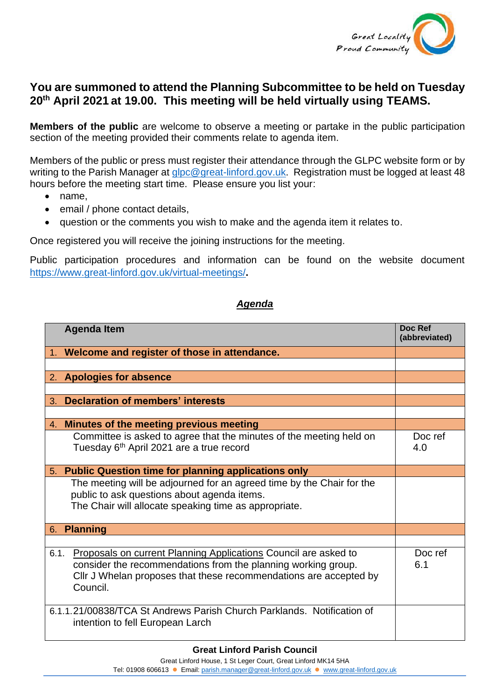

## **You are summoned to attend the Planning Subcommittee to be held on Tuesday 20th April 2021 at 19.00. This meeting will be held virtually using TEAMS.**

**Members of the public** are welcome to observe a meeting or partake in the public participation section of the meeting provided their comments relate to agenda item.

Members of the public or press must register their attendance through the GLPC website form or by writing to the Parish Manager at [glpc@great-linford.gov.uk.](mailto:glpc@great-linford.gov.uk) Registration must be logged at least 48 hours before the meeting start time. Please ensure you list your:

- name,
- email / phone contact details,
- question or the comments you wish to make and the agenda item it relates to.

Once registered you will receive the joining instructions for the meeting.

Public participation procedures and information can be found on the website document <https://www.great-linford.gov.uk/virtual-meetings/>**.**

## *Agenda*

|    | <b>Agenda Item</b>                                                     | Doc Ref<br>(abbreviated) |
|----|------------------------------------------------------------------------|--------------------------|
|    | 1. Welcome and register of those in attendance.                        |                          |
|    |                                                                        |                          |
|    | 2. Apologies for absence                                               |                          |
|    |                                                                        |                          |
| 3. | <b>Declaration of members' interests</b>                               |                          |
|    |                                                                        |                          |
| 4. | Minutes of the meeting previous meeting                                |                          |
|    | Committee is asked to agree that the minutes of the meeting held on    | Doc ref                  |
|    | Tuesday 6th April 2021 are a true record                               | 4.0                      |
|    |                                                                        |                          |
| 5. | <b>Public Question time for planning applications only</b>             |                          |
|    | The meeting will be adjourned for an agreed time by the Chair for the  |                          |
|    | public to ask questions about agenda items.                            |                          |
|    | The Chair will allocate speaking time as appropriate.                  |                          |
|    |                                                                        |                          |
| 6. | <b>Planning</b>                                                        |                          |
|    |                                                                        |                          |
|    | 6.1. Proposals on current Planning Applications Council are asked to   | Doc ref                  |
|    | consider the recommendations from the planning working group.          | 6.1                      |
|    | CIIr J Whelan proposes that these recommendations are accepted by      |                          |
|    | Council.                                                               |                          |
|    |                                                                        |                          |
|    | 6.1.1.21/00838/TCA St Andrews Parish Church Parklands. Notification of |                          |
|    | intention to fell European Larch                                       |                          |
|    |                                                                        |                          |